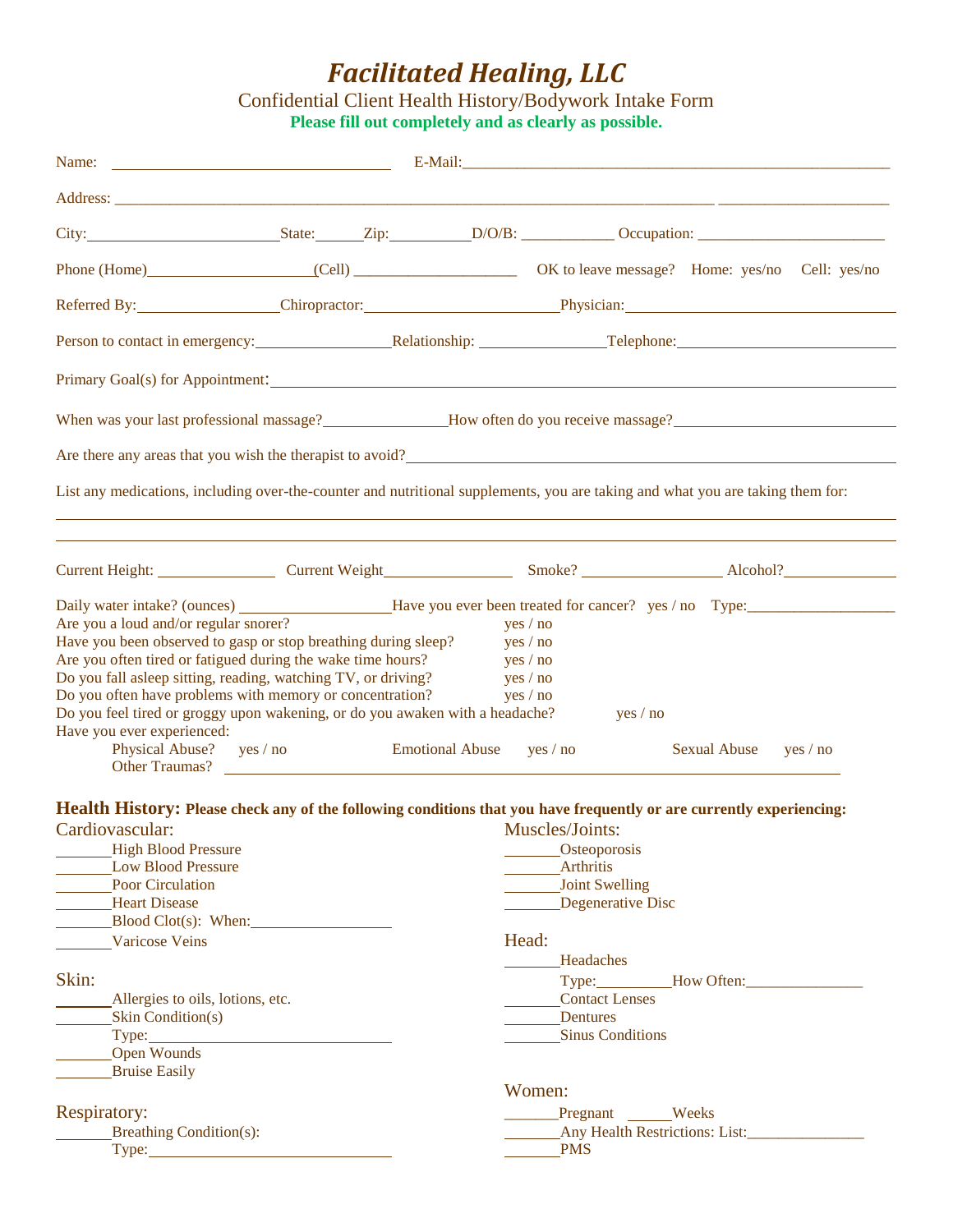## *Facilitated Healing, LLC*

Confidential Client Health History/Bodywork Intake Form **Please fill out completely and as clearly as possible.**

|                                                                                                                                |                        |                                                   | City: State: Zip: D/O/B: Occupation: City:                                                                         |
|--------------------------------------------------------------------------------------------------------------------------------|------------------------|---------------------------------------------------|--------------------------------------------------------------------------------------------------------------------|
|                                                                                                                                |                        |                                                   | Phone (Home) (Cell) Cell) OK to leave message? Home: yes/no Cell: yes/no                                           |
|                                                                                                                                |                        |                                                   | Referred By: Chiropractor: Chiropractor: Physician: Physician:                                                     |
|                                                                                                                                |                        |                                                   |                                                                                                                    |
|                                                                                                                                |                        |                                                   |                                                                                                                    |
|                                                                                                                                |                        |                                                   | When was your last professional massage?<br>Mow often do you receive massage?<br>Mow often do you receive massage? |
| Are there any areas that you wish the therapist to avoid?                                                                      |                        |                                                   |                                                                                                                    |
| List any medications, including over-the-counter and nutritional supplements, you are taking and what you are taking them for: |                        |                                                   |                                                                                                                    |
|                                                                                                                                |                        |                                                   |                                                                                                                    |
|                                                                                                                                |                        |                                                   |                                                                                                                    |
|                                                                                                                                |                        |                                                   |                                                                                                                    |
| Are you a loud and/or regular snorer?                                                                                          |                        | yes / no                                          |                                                                                                                    |
| Have you been observed to gasp or stop breathing during sleep?                                                                 |                        | yes / no                                          |                                                                                                                    |
| Are you often tired or fatigued during the wake time hours?                                                                    |                        | yes / no                                          |                                                                                                                    |
| Do you fall asleep sitting, reading, watching TV, or driving?                                                                  |                        | yes / no                                          |                                                                                                                    |
| Do you often have problems with memory or concentration?                                                                       |                        | yes / no                                          |                                                                                                                    |
| Do you feel tired or groggy upon wakening, or do you awaken with a headache?                                                   |                        | yes / no                                          |                                                                                                                    |
| Have you ever experienced:                                                                                                     |                        |                                                   |                                                                                                                    |
| Physical Abuse? yes / no<br>Other Traumas?                                                                                     | <b>Emotional Abuse</b> | yes / no                                          | Sexual Abuse yes / no                                                                                              |
|                                                                                                                                |                        |                                                   |                                                                                                                    |
| Health History: Please check any of the following conditions that you have frequently or are currently experiencing:           |                        |                                                   |                                                                                                                    |
| Cardiovascular:                                                                                                                |                        | Muscles/Joints:                                   |                                                                                                                    |
| High Blood Pressure                                                                                                            |                        | _________Osteoporosis                             |                                                                                                                    |
| Low Blood Pressure                                                                                                             |                        | <b>Arthritis</b>                                  |                                                                                                                    |
| $\mathbf{D}$ and $\mathbf{C}$ and $\mathbf{D}$ and $\mathbf{D}$                                                                |                        | $T = T + 1$ and $T = 0$ and $T = 117$ and $T = 0$ |                                                                                                                    |

| типниз                                |
|---------------------------------------|
| Joint Swelling                        |
| Degenerative Disc                     |
|                                       |
| Head:                                 |
| Headaches                             |
| Type: How Often:                      |
| <b>Contact Lenses</b>                 |
| Dentures                              |
| <b>Sinus Conditions</b>               |
|                                       |
|                                       |
| Women:                                |
| Weeks<br>Pregnant                     |
| <b>Any Health Restrictions: List:</b> |
| <b>PMS</b>                            |
|                                       |